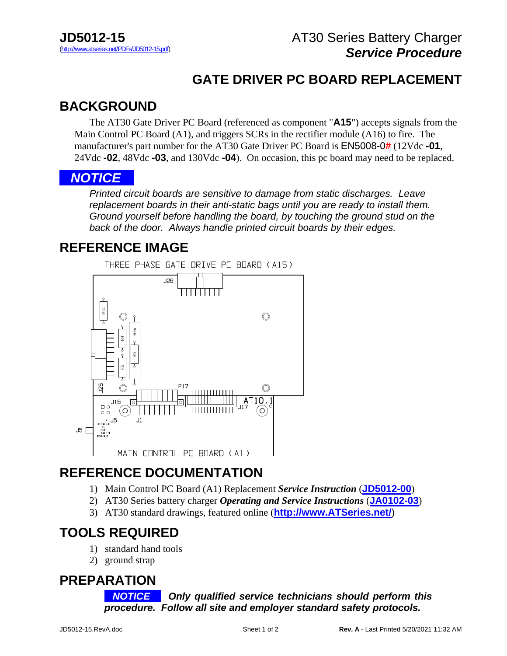## **GATE DRIVER PC BOARD REPLACEMENT**

## **BACKGROUND**

 The AT30 Gate Driver PC Board (referenced as component "**A15**") accepts signals from the Main Control PC Board (A1), and triggers SCRs in the rectifier module (A16) to fire. The manufacturer's part number for the AT30 Gate Driver PC Board is EN5008-0**#** (12Vdc **-01**, 24Vdc **-02**, 48Vdc **-03**, and 130Vdc **-04**). On occasion, this pc board may need to be replaced.

#### *NOTICE. .*.

*Printed circuit boards are sensitive to damage from static discharges. Leave replacement boards in their anti-static bags until you are ready to install them. Ground yourself before handling the board, by touching the ground stud on the back of the door. Always handle printed circuit boards by their edges.*

### **REFERENCE IMAGE**



## **REFERENCE DOCUMENTATION**

- 1) Main Control PC Board (A1) Replacement *Service Instruction* (**[JD5012-00](http://www.atseries.net/PDFs/JD5012-00.pdf)**)
- 2) AT30 Series battery charger *Operating and Service Instructions* (**[JA0102-03](http://www.atseries.net/PDFs/JA0102-03.pdf)**)
- 3) AT30 standard drawings, featured online (**http://www.ATSeries.net/**)

# **TOOLS REQUIRED**

- 1) standard hand tools
- 2) ground strap

#### **PREPARATION**

*NOTICE* **.** *Only qualified service technicians should perform this procedure. Follow all site and employer standard safety protocols.*